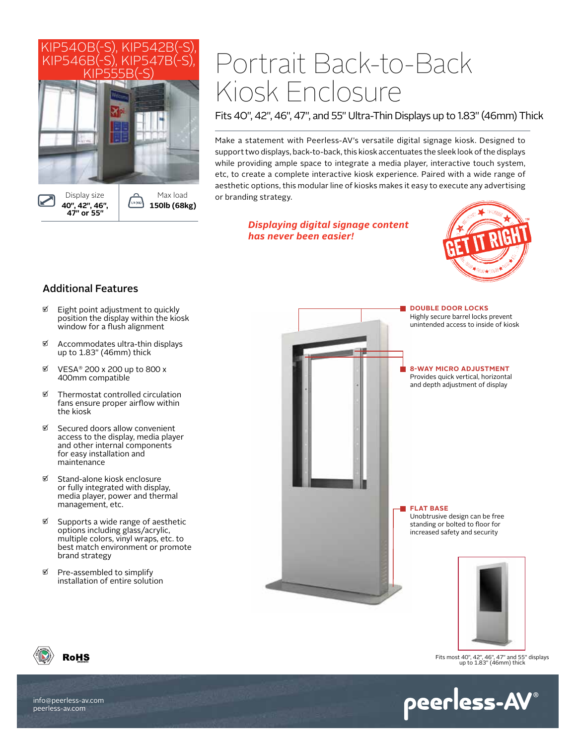

# Portrait Back-to-Back Kiosk Enclosure

Fits 40", 42", 46", 47", and 55" Ultra-Thin Displays up to 1.83" (46mm) Thick

Make a statement with Peerless-AV's versatile digital signage kiosk. Designed to support two displays, back-to-back, this kiosk accentuates the sleek look of the displays while providing ample space to integrate a media player, interactive touch system, etc, to create a complete interactive kiosk experience. Paired with a wide range of aesthetic options, this modular line of kiosks makes it easy to execute any advertising or branding strategy.

> *Displaying digital signage content has never been easier!*



# Additional Features

- $\mathfrak{D}$  Eight point adjustment to quickly position the display within the kiosk window for a flush alignment
- $\%$  Accommodates ultra-thin displays up to 1.83" (46mm) thick
- $\%$  VESA® 200 x 200 up to 800 x 400mm compatible
- $\mathfrak{D}$  Thermostat controlled circulation fans ensure proper airflow within the kiosk
- $\%$  Secured doors allow convenient access to the display, media player and other internal components for easy installation and maintenance
- Stand-alone kiosk enclosure or fully integrated with display, media player, power and thermal management, etc.
- $\%$  Supports a wide range of aesthetic options including glass/acrylic, multiple colors, vinyl wraps, etc. to best match environment or promote brand strategy
- Pre-assembled to simplify installation of entire solution



**DOUBLE DOOR LOCKS** Highly secure barrel locks prevent unintended access to inside of kiosk

# **8-WAY MICRO ADJUSTMENT**

Provides quick vertical, horizontal and depth adjustment of display

**FLAT BASE** Unobtrusive design can be free standing or bolted to floor for increased safety and security



Fits most 40", 42", 46", 47" and 55" displays up to 1.83" (46mm) thick